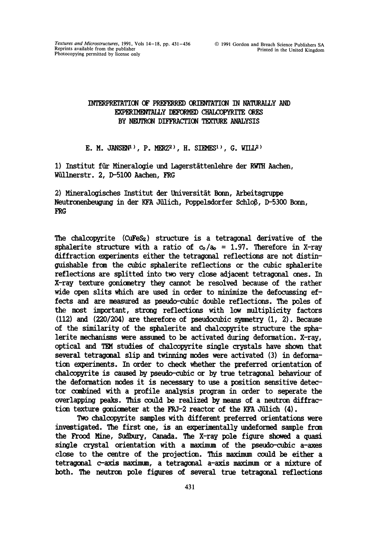## INTERPRETATION OF PREFERRED ORIENTATION IN NATURALLY AND EXPERIMENTALLY DEFORMED CHALCOPYRITE ORES BY NEUTRON DIFFRACTION TEXTURE ANALYSIS

## E. M. JANSEN<sup>1</sup>), P. MERZ<sup>2</sup>), H. STEMES<sup>1</sup>), G. WILL<sup>2</sup>)

1) Institut für Mineralogie und Lagerstättenlehre der RWTH Aachen, Wüllnerstr. 2, D-5100 Aachen, FRG

2) Mineralogisches Institut der Universität Bonn, Arbeitsgruppe Neutronenbeugung in der KFA Jülich, Poppelsdorfer Schloß, D-5300 Bonn, FRG

The chalcopyrite  $(CuFes<sub>2</sub>)$  structure is a tetragonal derivative of the sphalerite structure with a ratio of  $c_0/a_0 = 1.97$ . Therefore in X-ray diffraction experiments either the tetragonal reflections are not distinguishable from the cubic sphalerite reflections or the cubic sphalerite reflections are splitted into two very close adjacent tetragonal ones. In X-ray texture goniometry they cannot be resolved because of the rather wide open slits which are used in order to minimize the defocussing effects and are measured as pseudo-cubic double reflections. The poles of the most important, strong reflections with low multiplicity factors (112) and (220/204) are therefore of pseudocubic symmetry  $(1, 2)$ . Because of the similarity of the sphalerite and chalcopyrite structure the sphalerite mechanisms were assumed to be activated during deformation. X-ray, optical and TEM studies of chalcopyrite single crystals have shown that several tetragonal slip and twinning modes were activated (3) in deformation experiments. In order to check whether the preferred orientation of chalcopyrite is caused by pseudo-cubic or by true tetragonal behaviour of the deformation modes it is necessary to use a position sensitive detector combined with a profile analysis program in order to seperate the overlapping peaks. This could be realized by means of a neutron diffraction texture goniometer at the FRJ-2 reactor of the KFA Jülich  $(4)$ .

Two chalcopyrite samples with different preferred orientations were investigated. The first one, is an experimentally undeformed sample from the Frood Mine, Sudbury, Canada. The X-ray pole figure showed a quasi single crystal orientation with a maximum of the pseudo-cubic a-axes close to the centre of the projection. This maximum could be either a tetragonal c-axis maximum, a tetragonal a-axis maximum or a mixture of both. The neutron pole figures of several true tetragonal reflections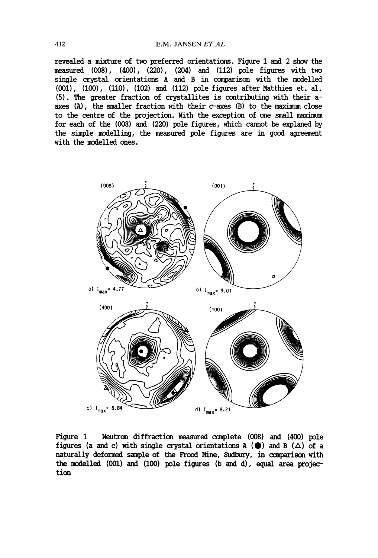revealed a mixture of two preferred orientations. Figure 1 and 2 show the measured (008), (400), (220), (204) and (112)pole figures with two single crystal orientations A and B in comparison with the modelled (001), (100), (110), (102) and (112) pole figures after Matthies et. al. (5). The greater fraction of crystallites is contributing with their aaxes (A), the smaller fraction with their c-axes (B) to the maximum close to the centre of the projection. With the exception of one small maximum for each of the (008) and (220) pole figures, which cannot be explaned by the simple modelling, the measured pole figures are in good agreement with the modelled ones.



Figure 1 Neutron diffraction measured complete (008) and (400) pole figures (a and c) with single crystal orientations A ( $\bigcirc$ ) and B ( $\triangle$ ) of a naturally deformed sample of the Frood Mine, Sudbury, in comparison with the modelled (001) and (100) pole figures (b and d), equal area projection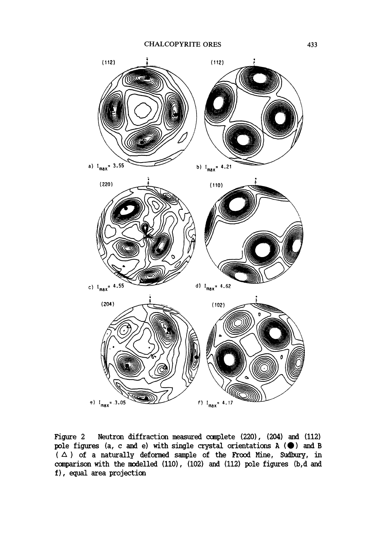

Figure 2 Neutron diffraction measured complete  $(220)$ ,  $(204)$  and  $(112)$ pole figures (a, c and e) with single crystal orientations  $A$  ( $\bullet$ ) and B ( $\triangle$ ) of a naturally deformed sample of the Frood Mine, Sudbury, in comparison with the modelled (110), (102) and (112) pole figures (b,d and f), equal area projection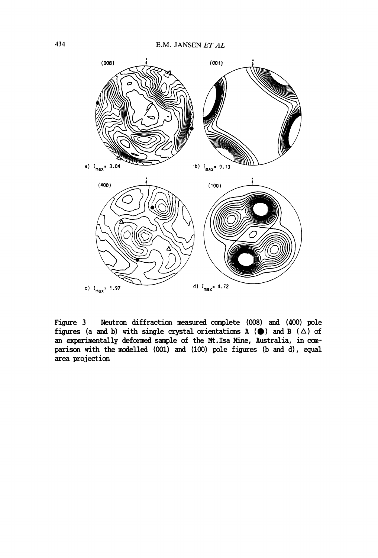

Figure 3 Neutron diffraction measured complete (008) and (400) pole figures (a and b) with single crystal orientations A ( $\bigcirc$ ) and B ( $\Delta$ ) of an experimentally deformed sample of the Mt.Isa Mine, Australia, in comparison with the modelled (001) and (100) pole figures (b and d), equal area projection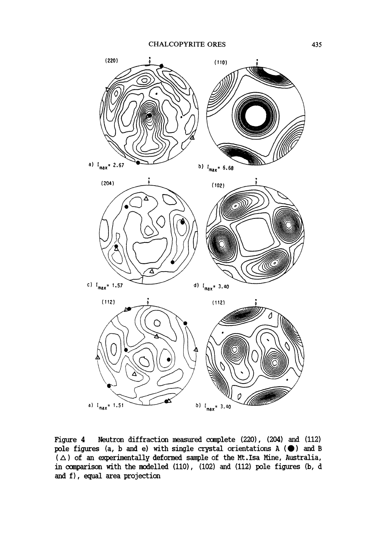

Figure 4 Neutron diffraction measured complete (220), (204) and (112) pole figures (a, b and e) with single crystal orientations  $A$  ( $\bullet$ ) and B  $(\triangle)$  of an experimentally deformed sample of the Mt.Isa Mine, Australia, in comparison with the modelled  $(110)$ ,  $(102)$  and  $(112)$  pole figures (b, d and f), equal area projection